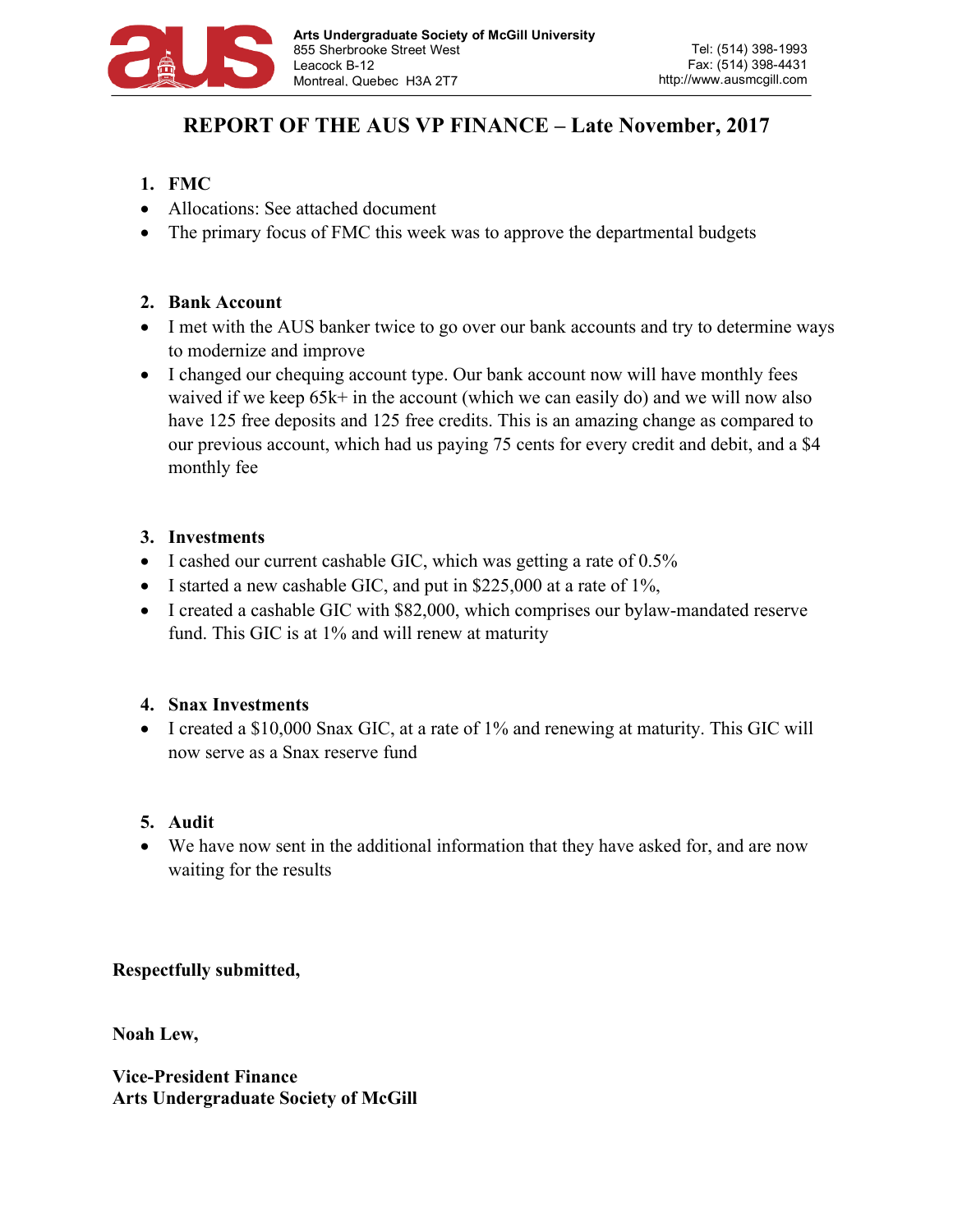

# **REPORT OF THE AUS VP FINANCE – Late November, 2017**

- **1. FMC**
- Allocations: See attached document
- The primary focus of FMC this week was to approve the departmental budgets

## **2. Bank Account**

- I met with the AUS banker twice to go over our bank accounts and try to determine ways to modernize and improve
- I changed our chequing account type. Our bank account now will have monthly fees waived if we keep 65k+ in the account (which we can easily do) and we will now also have 125 free deposits and 125 free credits. This is an amazing change as compared to our previous account, which had us paying 75 cents for every credit and debit, and a \$4 monthly fee

### **3. Investments**

- I cashed our current cashable GIC, which was getting a rate of 0.5%
- I started a new cashable GIC, and put in  $$225,000$  at a rate of 1%,
- I created a cashable GIC with \$82,000, which comprises our bylaw-mandated reserve fund. This GIC is at 1% and will renew at maturity

### **4. Snax Investments**

• I created a \$10,000 Snax GIC, at a rate of 1% and renewing at maturity. This GIC will now serve as a Snax reserve fund

### **5. Audit**

• We have now sent in the additional information that they have asked for, and are now waiting for the results

### **Respectfully submitted,**

**Noah Lew,**

**Vice-President Finance Arts Undergraduate Society of McGill**